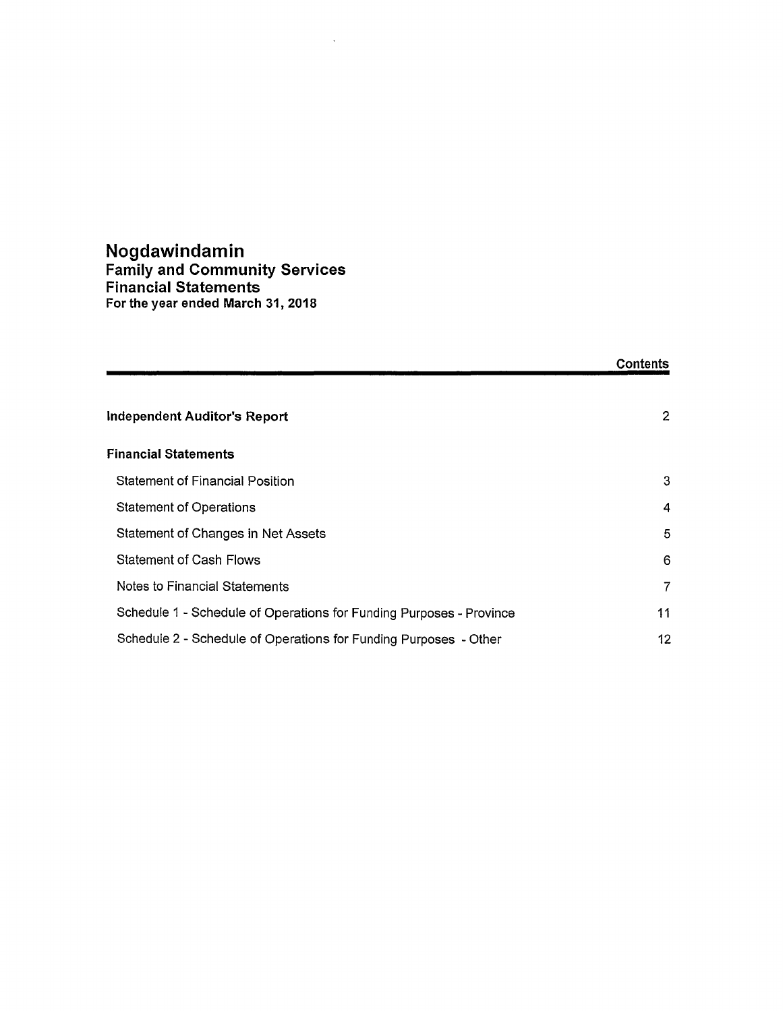# Nogdawindamin Family and Community Services Financial Statements For the year ended March 31, 2018

|                                                                     | Contents       |
|---------------------------------------------------------------------|----------------|
| <b>Independent Auditor's Report</b>                                 | $\mathbf{2}$   |
| <b>Financial Statements</b>                                         |                |
| <b>Statement of Financial Position</b>                              | 3              |
| <b>Statement of Operations</b>                                      | $\overline{4}$ |
| Statement of Changes in Net Assets                                  | 5              |
| <b>Statement of Cash Flows</b>                                      | 6              |
| Notes to Financial Statements                                       | 7              |
| Schedule 1 - Schedule of Operations for Funding Purposes - Province | 11             |
| Schedule 2 - Schedule of Operations for Funding Purposes - Other    | 12             |

 $\bar{\mathcal{A}}$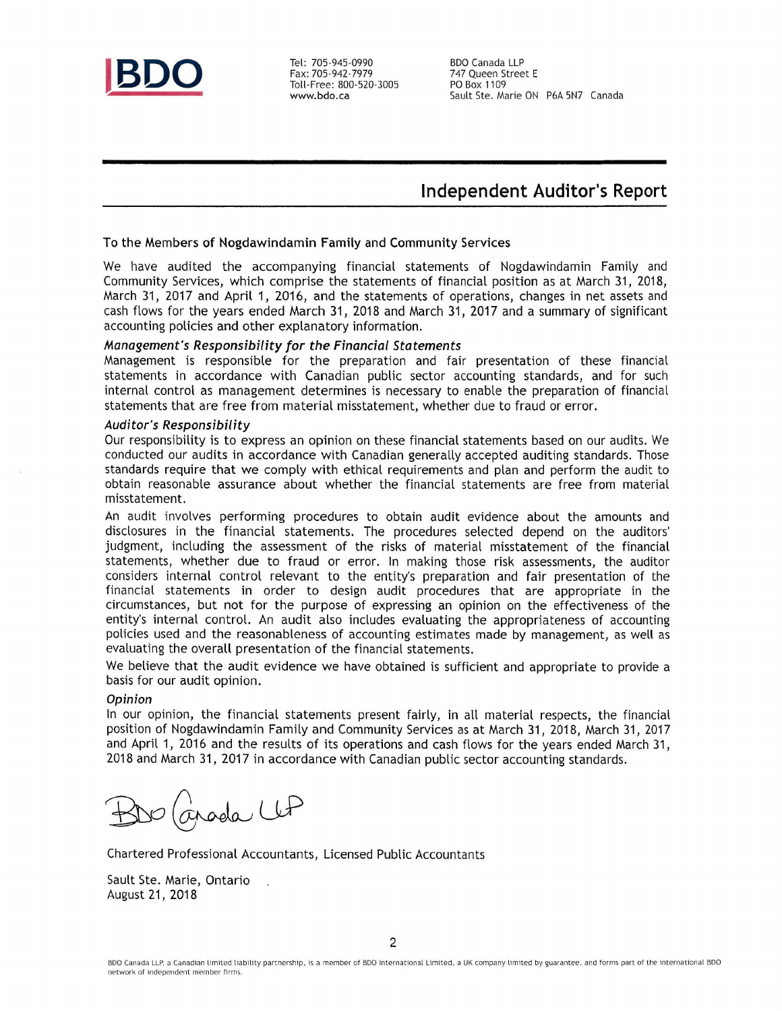

Tel: 705-945-0990<br>Fax: 705-942-7979 Toll-Free: 800-520-3005 www.bdo.ca

BDO Canada LLP 747 Queen Street E PO Box 1109 Sault Ste. Marie ON P6A 5N7 Canada

# **Independent Auditor's Report**

#### To the Members of Nogdawindamin Family and Community Services

We have audited the accompanying financial statements of Nogdawindamin Family and Community Services, which comprise the statements of financial position as at March 31, 2018, March 31, 2017 and April 1, 2016, and the statements of operations, changes in net assets and cash flows for the years ended March 31, 2018 and March 31, 2017 and a summary of significant accounting policies and other explanatory information.

### Management's Responsibility for the Financial Statements

Management is responsible for the preparation and fair presentation of these financial statements in accordance with Canadian public sector accounting standards, and for such internal control as management determines is necessary to enable the preparation of financial statements that are free from material misstatement, whether due to fraud or error.

#### Auditor's Responsibility

Our responsibility is to express an opinion on these financial statements based on our audits. We conducted our audits in accordance with Canadian generally accepted auditing standards. Those standards require that we comply with ethical requirements and plan and perform the audit to obtain reasonable assurance about whether the financial statements are free from material misstatement.

An audit involves performing procedures to obtain audit evidence about the amounts and disclosures in the financial statements. The procedures selected depend on the auditors' judgment, including the assessment of the risks of material misstatement of the financial statements, whether due to fraud or error. In making those risk assessments, the auditor considers internal control relevant to the entity's preparation and fair presentation of the financial statements in order to design audit procedures that are appropriate in the circumstances, but not for the purpose of expressing an opinion on the effectiveness of the entity's internal control. An audit also includes evaluating the appropriateness of accounting policies used and the reasonableness of accounting estimates made by management, as well as evaluating the overall presentation of the financial statements.

We believe that the audit evidence we have obtained is sufficient and appropriate to provide a basis for our audit opinion.

#### Opinion

In our opinion, the financial statements present fairly, in all material respects, the financial position of Nogdawindamin Family and Community Services as at March 31, 2018, March 31, 2017 and April 1, 2016 and the results of its operations and cash flows for the years ended March 31, 2018 and March 31, 2017 in accordance with Canadian public sector accounting standards.

arada LLP

Chartered Professional Accountants, Licensed Public Accountants

Sault Ste. Marie, Ontario August 21, 2018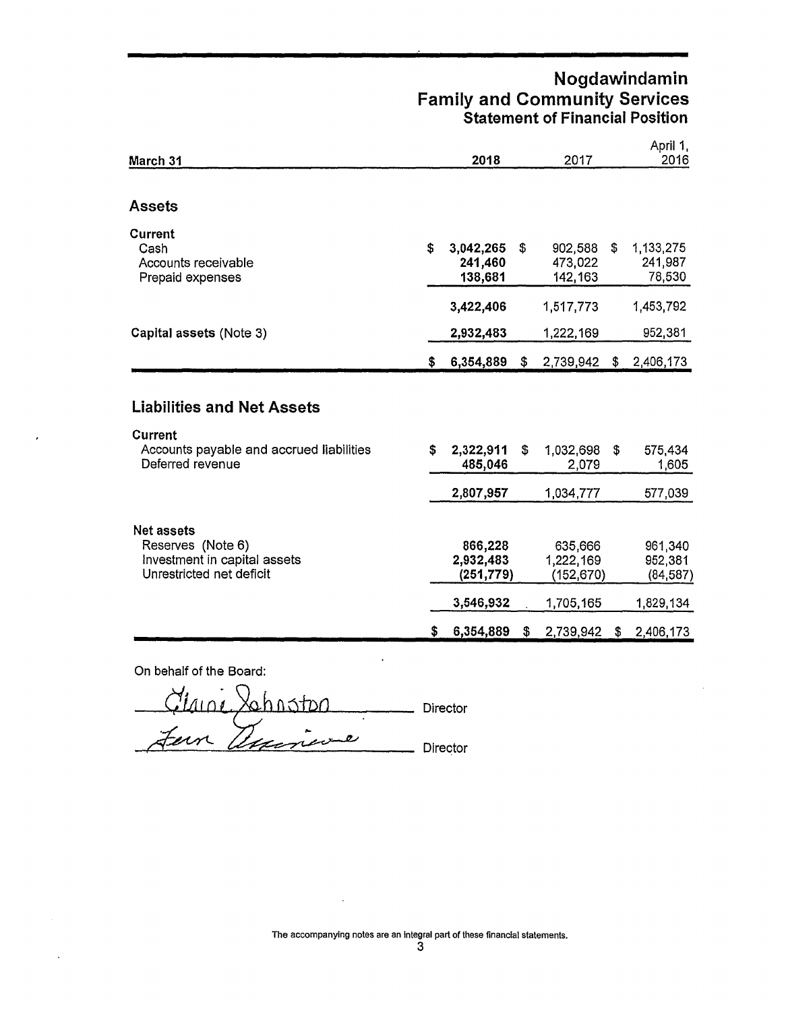# Nogdawindamin Family and Community Services Statement of Financial Position

|                                                                                                              |    |                                                 |                                                 | April 1,                                     |
|--------------------------------------------------------------------------------------------------------------|----|-------------------------------------------------|-------------------------------------------------|----------------------------------------------|
| March 31                                                                                                     |    | 2018                                            | 2017                                            | 2016                                         |
| <b>Assets</b>                                                                                                |    |                                                 |                                                 |                                              |
| Current<br>Cash<br>Accounts receivable<br>Prepaid expenses                                                   | \$ | 3,042,265<br>241,460<br>138,681                 | \$<br>902,588<br>473,022<br>142,163             | \$<br>1,133,275<br>241,987<br>78,530         |
|                                                                                                              |    | 3,422,406                                       | 1,517,773                                       | 1,453,792                                    |
| Capital assets (Note 3)                                                                                      |    | 2,932,483                                       | 1,222,169                                       | 952,381                                      |
|                                                                                                              | S. | 6,354,889                                       | \$<br>2,739,942                                 | \$<br>2,406,173                              |
| <b>Liabilities and Net Assets</b><br>Current<br>Accounts payable and accrued liabilities<br>Deferred revenue | \$ | 2,322,911<br>485,046                            | \$<br>1,032,698<br>2,079                        | \$<br>575,434<br>1,605                       |
|                                                                                                              |    | 2,807,957                                       | 1,034,777                                       | 577,039                                      |
| Net assets<br>Reserves (Note 6)<br>Investment in capital assets<br>Unrestricted net deficit                  |    | 866,228<br>2,932,483<br>(251, 779)<br>3,546,932 | 635,666<br>1,222,169<br>(152, 670)<br>1,705,165 | 961,340<br>952,381<br>(84, 587)<br>1,829,134 |
|                                                                                                              | \$ | 6,354,889                                       | \$<br>2,739,942                                 | \$<br>2,406,173                              |

On behalf of the Board:<br>CLAINI StDN<br>Fern Americane Director

The accompanying notes are an Integral part of these financial statements.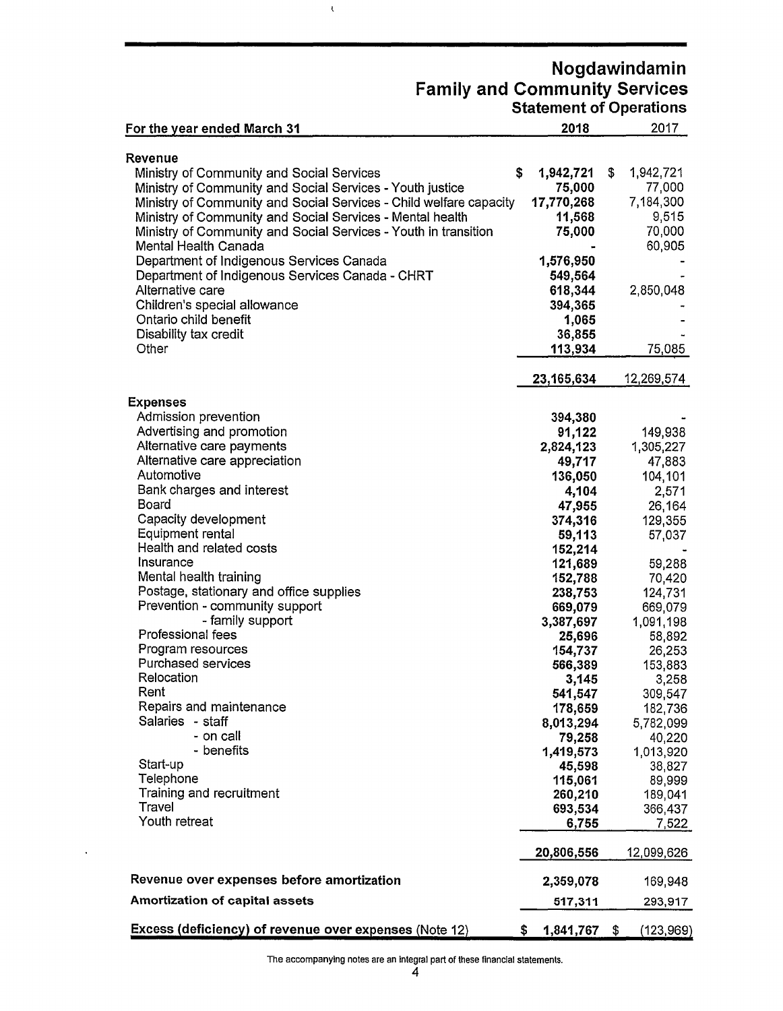# Nogdawindamin Family and Community Services

|                                                                    | <b>Statement of Operations</b> |                  |
|--------------------------------------------------------------------|--------------------------------|------------------|
| For the year ended March 31                                        | 2018                           | 2017             |
|                                                                    |                                |                  |
| Revenue                                                            |                                |                  |
| Ministry of Community and Social Services                          | \$<br>1,942,721                | \$<br>1,942,721  |
| Ministry of Community and Social Services - Youth justice          | 75,000                         | 77,000           |
| Ministry of Community and Social Services - Child welfare capacity | 17,770,268                     | 7,184,300        |
| Ministry of Community and Social Services - Mental health          | 11,568                         | 9,515            |
| Ministry of Community and Social Services - Youth in transition    | 75,000                         | 70,000           |
| Mental Health Canada                                               |                                | 60,905           |
| Department of Indigenous Services Canada                           | 1,576,950                      |                  |
| Department of Indigenous Services Canada - CHRT                    | 549,564                        |                  |
| Alternative care                                                   | 618,344                        | 2,850,048        |
| Children's special allowance                                       | 394,365                        |                  |
| Ontario child benefit                                              | 1,065                          |                  |
| Disability tax credit                                              | 36,855                         |                  |
| Other                                                              | 113,934                        | 75,085           |
|                                                                    |                                |                  |
|                                                                    | 23, 165, 634                   | 12,269,574       |
| <b>Expenses</b>                                                    |                                |                  |
| Admission prevention                                               | 394,380                        |                  |
| Advertising and promotion                                          | 91,122                         | 149,938          |
| Alternative care payments                                          | 2,824,123                      | 1,305,227        |
| Alternative care appreciation                                      | 49,717                         | 47,883           |
| Automotive                                                         | 136,050                        | 104,101          |
| Bank charges and interest                                          |                                |                  |
| Board                                                              | 4,104                          | 2,571            |
| Capacity development                                               | 47,955                         | 26,164           |
| Equipment rental                                                   | 374,316                        | 129,355          |
| Health and related costs                                           | 59,113                         | 57,037           |
| Insurance                                                          | 152,214                        |                  |
|                                                                    | 121,689                        | 59,288           |
| Mental health training                                             | 152,788                        | 70,420           |
| Postage, stationary and office supplies                            | 238,753                        | 124,731          |
| Prevention - community support                                     | 669,079                        | 669,079          |
| - family support                                                   | 3,387,697                      | 1,091,198        |
| Professional fees                                                  | 25,696                         | 58,892           |
| Program resources                                                  | 154,737                        | 26,253           |
| Purchased services                                                 | 566,389                        | 153,883          |
| Relocation                                                         | 3,145                          | 3,258            |
| Rent                                                               | 541,547                        | 309,547          |
| Repairs and maintenance                                            | 178,659                        | 182,736          |
| Salaries - staff                                                   | 8,013,294                      | 5,782,099        |
| - on call                                                          | 79,258                         | 40,220           |
| - benefits                                                         | 1,419,573                      | 1,013,920        |
| Start-up                                                           | 45,598                         | 38,827           |
| Telephone                                                          | 115,061                        | 89,999           |
| Training and recruitment                                           | 260,210                        | 189,041          |
| Travel                                                             | 693,534                        | 366,437          |
| Youth retreat                                                      | 6,755                          | 7,522            |
|                                                                    | 20,806,556                     | 12,099,626       |
| Revenue over expenses before amortization                          | 2,359,078                      | 169,948          |
| <b>Amortization of capital assets</b>                              | 517,311                        | 293,917          |
| <b>Excess (deficiency) of revenue over expenses (Note 12)</b>      |                                |                  |
|                                                                    | \$<br>1,841,767                | \$<br>(123, 969) |

 $\bar{\chi}$ 

The accompanying notes are an integral part of these financial statements.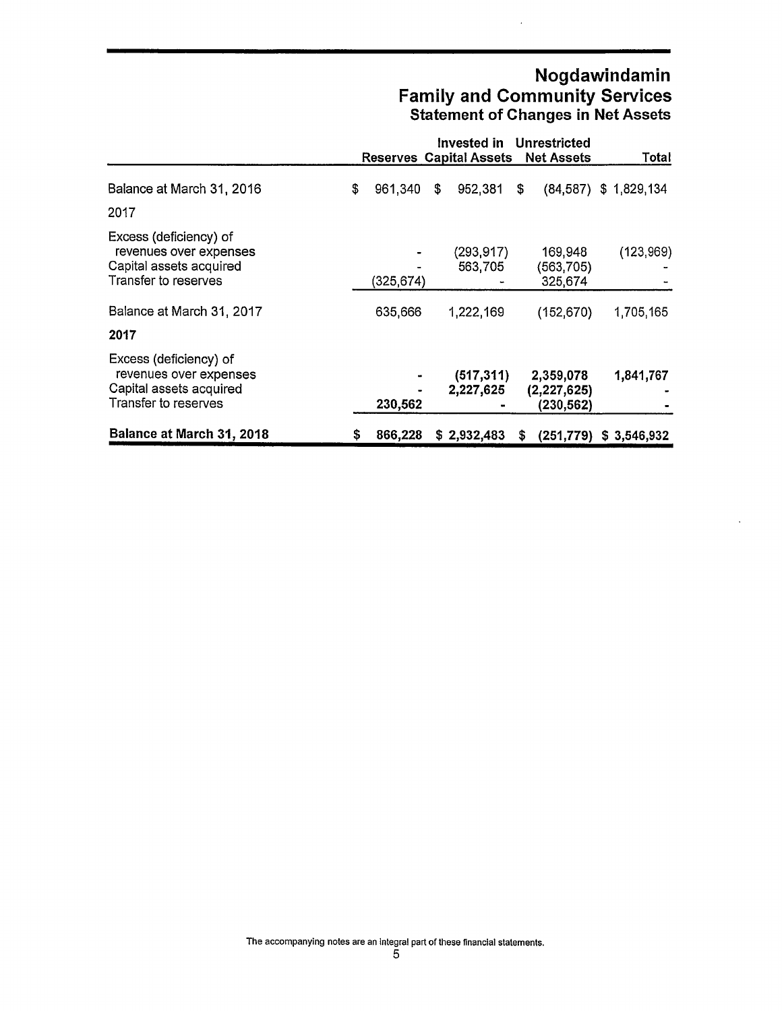# Nogdawindamin Family and Community Services Statement of Changes in Net Assets

|                                                                                                     |               | Invested in Unrestricted                  |     |                                          |                          |
|-----------------------------------------------------------------------------------------------------|---------------|-------------------------------------------|-----|------------------------------------------|--------------------------|
|                                                                                                     |               | <b>Reserves Capital Assets Net Assets</b> |     |                                          | Total                    |
| Balance at March 31, 2016                                                                           | \$<br>961,340 | \$<br>952,381                             | \$  |                                          | $(84,587)$ \$ 1,829,134  |
| 2017                                                                                                |               |                                           |     |                                          |                          |
| Excess (deficiency) of<br>revenues over expenses<br>Capital assets acquired<br>Transfer to reserves | (325,674)     | (293, 917)<br>563,705                     |     | 169,948<br>(563, 705)<br>325,674         | (123, 969)               |
| Balance at March 31, 2017                                                                           | 635,666       | 1,222,169                                 |     | (152, 670)                               | 1,705,165                |
| 2017                                                                                                |               |                                           |     |                                          |                          |
| Excess (deficiency) of<br>revenues over expenses<br>Capital assets acquired<br>Transfer to reserves | 230,562       | (517, 311)<br>2,227,625                   |     | 2,359,078<br>(2, 227, 625)<br>(230, 562) | 1,841,767                |
| Balance at March 31, 2018                                                                           | \$<br>866,228 | \$2,932,483                               | \$. |                                          | $(251,779)$ \$ 3,546,932 |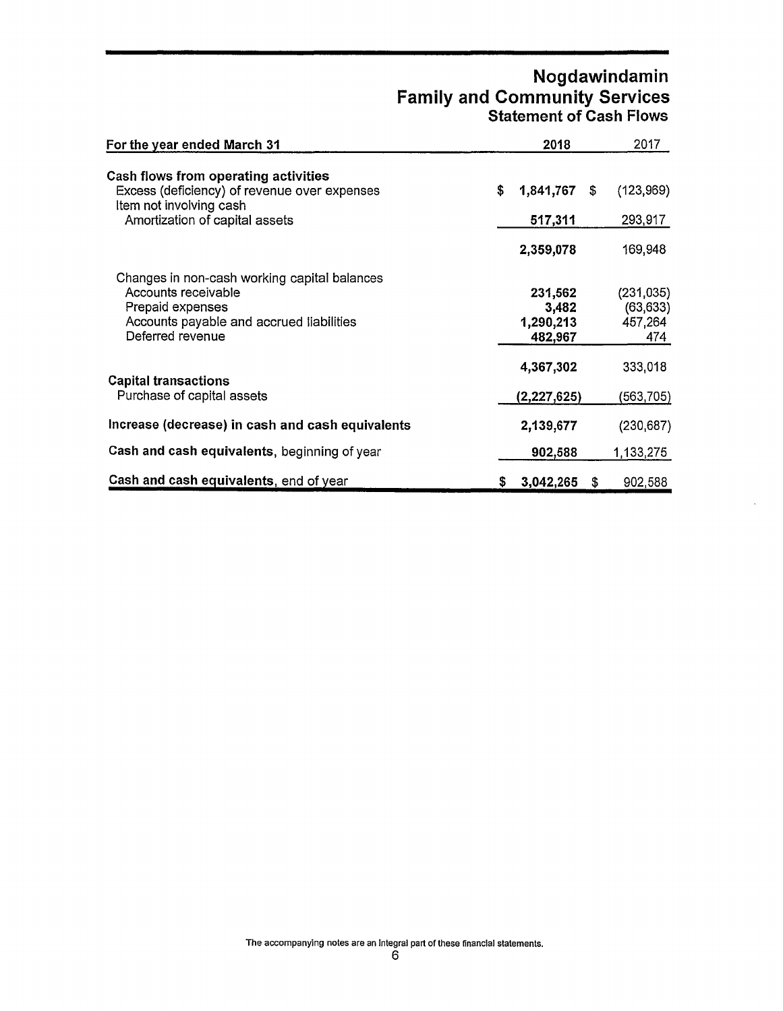# Nogdawindamin Family and Community Services Statement of Cash Flows

| For the year ended March 31                                                                                                                             |    | 2018                                     | 2017                                      |
|---------------------------------------------------------------------------------------------------------------------------------------------------------|----|------------------------------------------|-------------------------------------------|
| Cash flows from operating activities<br>Excess (deficiency) of revenue over expenses<br>Item not involving cash                                         | \$ | 1,841,767                                | \$<br>(123, 969)                          |
| Amortization of capital assets                                                                                                                          |    | 517,311                                  | 293,917                                   |
|                                                                                                                                                         |    | 2,359,078                                | 169,948                                   |
| Changes in non-cash working capital balances<br>Accounts receivable<br>Prepaid expenses<br>Accounts payable and accrued liabilities<br>Deferred revenue |    | 231,562<br>3,482<br>1,290,213<br>482,967 | (231, 035)<br>(63, 633)<br>457,264<br>474 |
| <b>Capital transactions</b><br>Purchase of capital assets                                                                                               |    | 4,367,302<br>(2,227,625)                 | 333,018<br>(563,705)                      |
| Increase (decrease) in cash and cash equivalents                                                                                                        |    | 2,139,677                                | (230, 687)                                |
| Cash and cash equivalents, beginning of year                                                                                                            |    | 902,588                                  | 1,133,275                                 |
| Cash and cash equivalents, end of year                                                                                                                  | Ş  | 3,042,265                                | \$<br>902,588                             |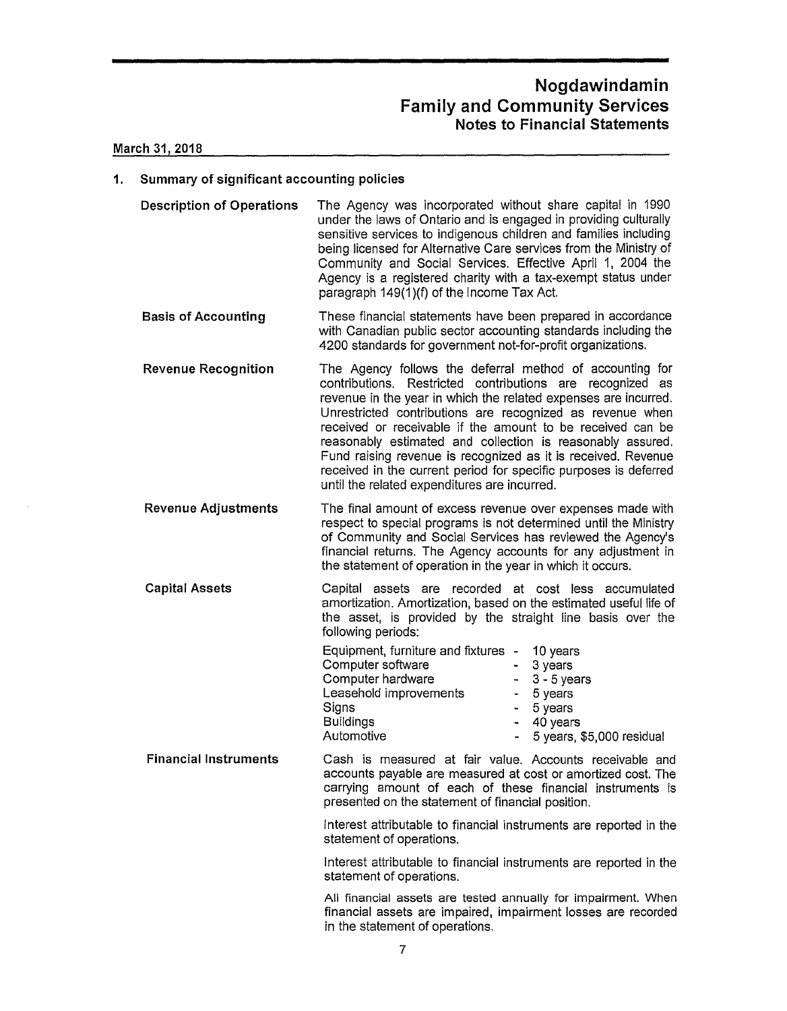# **Nogdawindamin Family and Community Services Notes to Financial Statements**

## **March 31 2018**

# **1. Summary of significant accounting policies**

- **Description of Operations** The Agency was incorporated without share capital in 1990 under the laws of Ontario and is engaged in providing culturally sensitive services to indigenous children and families including being licensed for Alternative Care services from the Ministry of Community and Social Services. Effective April 1, 2004 the Agency is a registered charity with a tax-exempt status under paragraph 149(1)(f) of the Income Tax Act.
- **Basis of Accounting** These financial statements have been prepared in accordance with Canadian public sector accounting standards including the 4200 standards for government not-for-profit organizations.
- **Revenue Recognition** The Agency follows the deferral method of accounting for contributions. Restricted contributions are recognized as revenue in the year in which the related expenses are incurred. Unrestricted contributions are recognized as revenue when received or receivable if the amount to be received can be reasonably estimated and collection is reasonably assured. Fund raising revenue is recognized as it is received. Revenue received in the current period for specific purposes is deferred until the related expenditures are incurred.
- **Revenue Adjustments** The final amount of excess revenue over expenses made with respect to special programs is not determined until the Ministry of Community and Social Services has reviewed the Agency's financial returns. The Agency accounts for any adjustment in the statement of operation in the year in which it occurs.
- **Capital Assets** Capital assets are recorded at cost less accumulated amortization. Amortization, based on the estimated useful life of the asset, is provided by the straight line basis over the following periods:

| Equipment, furniture and fixtures - 10 years |                             |
|----------------------------------------------|-----------------------------|
| Computer software                            | $-3$ years                  |
| Computer hardware                            | $-3 - 5$ years              |
| Leasehold improvements                       | - 5 years                   |
| Signs                                        | $-5$ years                  |
| <b>Buildings</b>                             | $-40$ years                 |
| Automotive                                   | - 5 years, \$5,000 residual |

**Financial Instruments**  Cash is measured at fair value. Accounts receivable and accounts payable are measured at cost or amortized cost. The carrying amount of each of these financial instruments is presented on the statement of financial position.

> Interest attributable to financial instruments are reported in the statement of operations.

> Interest attributable to financial instruments are reported in the statement of operations.

> All financial assets are tested annually for impairment. When financial assets are impaired, impairment losses are recorded in the statement of operations.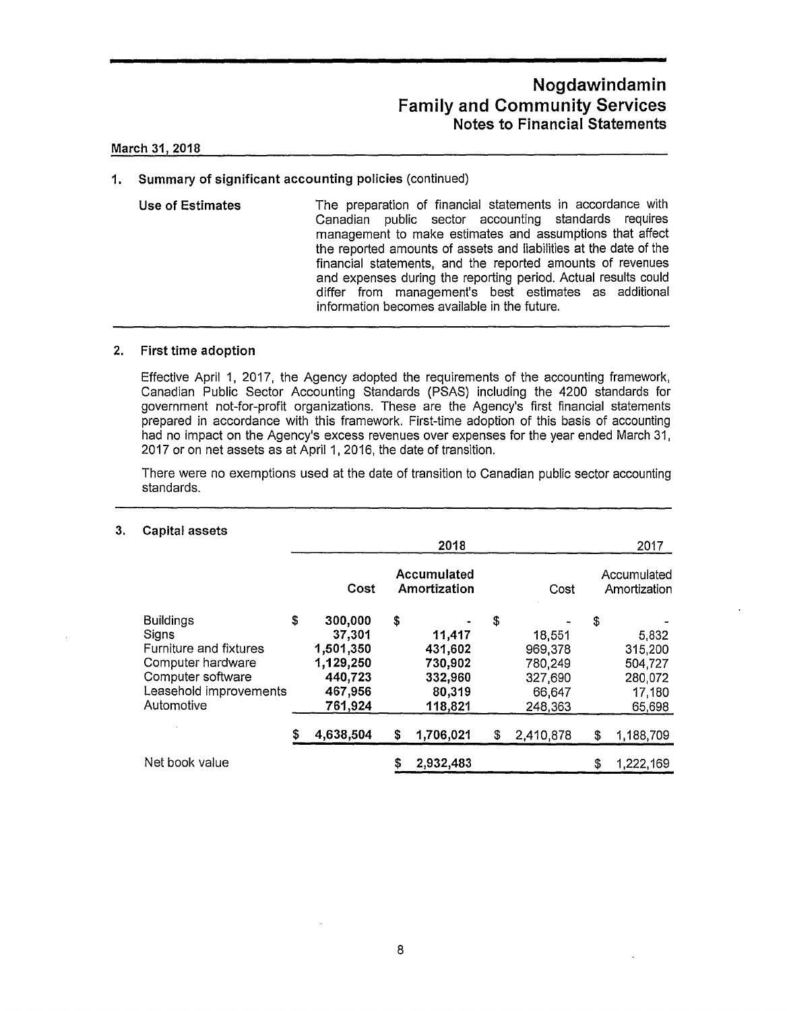#### March 31, 2018

### 1. Summary of significant accounting policies (continued)

Use of Estimates The preparation of financial statements in accordance with Canadian public sector accounting standards requires management to make estimates and assumptions that affect the reported amounts of assets and liabilities at the date of the financial statements, and the reported amounts of revenues and expenses during the reporting period. Actual results could differ from management's best estimates as additional information becomes available in the future.

#### 2. First time adoption

Effective April 1, 2017, the Agency adopted the requirements of the accounting framework, Canadian Public Sector Accounting Standards (PSAS) including the 4200 standards for government not-for-profit organizations. These are the Agency's first financial statements prepared in accordance with this framework. First-time adoption of this basis of accounting had no impact on the Agency's excess revenues over expenses for the year ended March 31, 2017 or on net assets as at April 1, 2016, the date of transition.

There were no exemptions used at the date of transition to Canadian public sector accounting standards.

| Oapilai assels                                                                                                                        |                                                                                    |    | 2017                                                         |    |                                                              |    |                                                            |  |                             |
|---------------------------------------------------------------------------------------------------------------------------------------|------------------------------------------------------------------------------------|----|--------------------------------------------------------------|----|--------------------------------------------------------------|----|------------------------------------------------------------|--|-----------------------------|
|                                                                                                                                       | Cost                                                                               |    | Accumulated<br>Amortization                                  |    |                                                              |    | Cost                                                       |  | Accumulated<br>Amortization |
| <b>Buildings</b><br>Signs<br>Furniture and fixtures<br>Computer hardware<br>Computer software<br>Leasehold improvements<br>Automotive | \$<br>300,000<br>37.301<br>1,501,350<br>1,129,250<br>440,723<br>467,956<br>761,924 | \$ | 11,417<br>431,602<br>730,902<br>332,960<br>80,319<br>118,821 | \$ | 18,551<br>969,378<br>780,249<br>327,690<br>66,647<br>248,363 | \$ | 5,832<br>315,200<br>504,727<br>280,072<br>17,180<br>65,698 |  |                             |
|                                                                                                                                       | 4,638,504                                                                          | \$ | 1,706,021                                                    | \$ | 2,410,878                                                    | S  | 1,188,709                                                  |  |                             |
| Net book value                                                                                                                        |                                                                                    | S  | 2,932,483                                                    |    |                                                              | \$ | 1,222,169                                                  |  |                             |

#### 3. Capital assets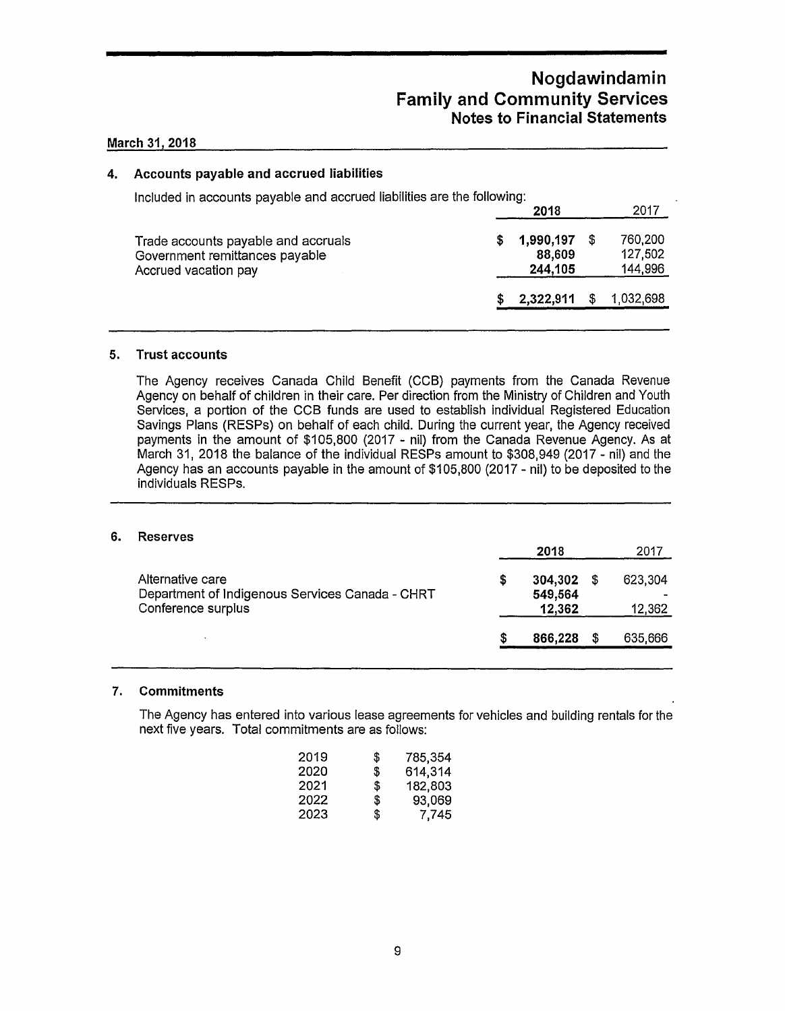## March 31, 2018

## 4. Accounts payable and accrued liabilities

Included in accounts payable and accrued liabilities are the following:

|                                                                                               | 2018                           | 2017                                |
|-----------------------------------------------------------------------------------------------|--------------------------------|-------------------------------------|
| Trade accounts payable and accruals<br>Government remittances payable<br>Accrued vacation pay | 1,990,197<br>88,609<br>244,105 | \$<br>760,200<br>127,502<br>144,996 |
|                                                                                               | 2,322,911                      | \$<br>1,032,698                     |

## 5. Trust accounts

The Agency receives Canada Child Benefit (CCB) payments from the Canada Revenue Agency on behalf of children in their care. Per direction from the Ministry of Children and Youth Services, a portion of the CCB funds are used to establish individual Registered Education Savings Plans (RESPs) on behalf of each child. During the current year, the Agency received payments in the amount of \$105,800 (2017- nil) from the Canada Revenue Agency. As at March 31, 2018 the balance of the individual RESPs amount to \$308,949 (2017- nil) and the Agency has an accounts payable in the amount of \$105,800 (2017- nil) to be deposited to the individuals RESPs.

#### 6. Reserves

|                                                                                           |   | 2018                         |    | 2017              |
|-------------------------------------------------------------------------------------------|---|------------------------------|----|-------------------|
| Alternative care<br>Department of Indigenous Services Canada - CHRT<br>Conference surplus | S | 304,302<br>549,564<br>12,362 | \$ | 623,304<br>12,362 |
|                                                                                           |   | 866,228                      | S  | 635,666           |

# 7. Commitments

The Agency has entered into various lease agreements for vehicles and building rentals for the next five years. Total commitments are as follows:

| 2019 | S | 785,354 |
|------|---|---------|
| 2020 | S | 614.314 |
| 2021 | S | 182,803 |
| 2022 | S | 93,069  |
| 2023 | S | 7,745   |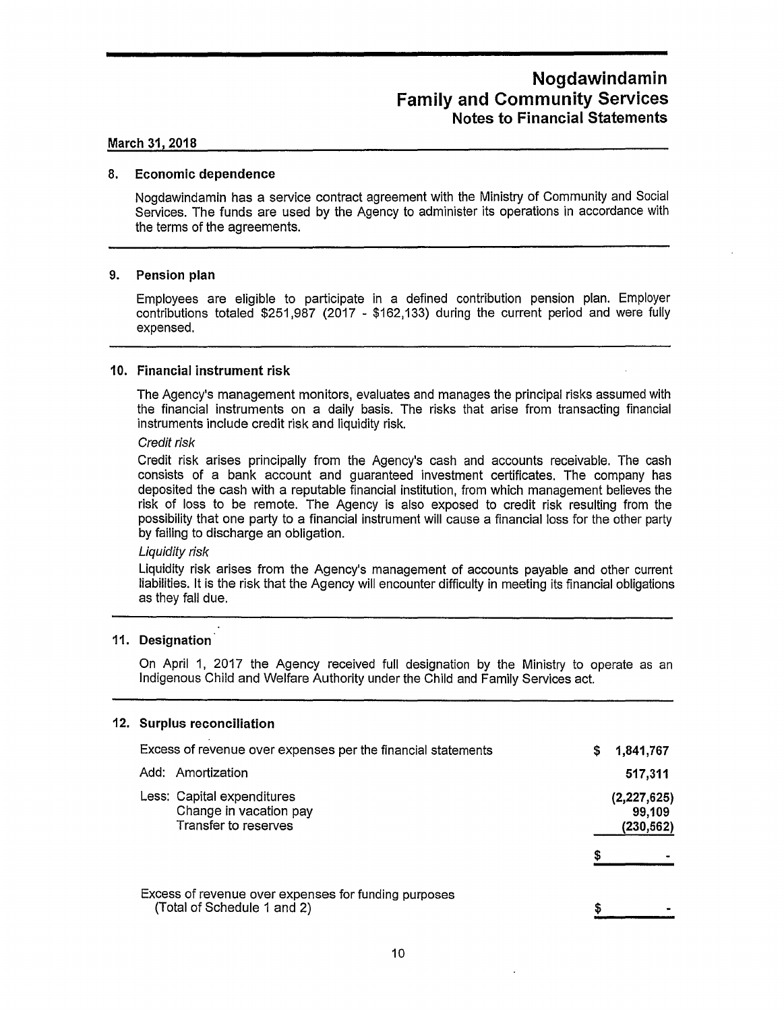# **Nogdawindamin Family and Community Services Notes to Financial Statements**

## **March 31 2018**

### **8. Economic dependence**

Nogdawindamin has a service contract agreement with the Ministry of Community and Social Services. The funds are used by the Agency to administer its operations in accordance with the terms of the agreements.

## **9. Pension plan**

Employees are eligible to participate in a defined contribution pension plan. Employer contributions totaled \$251,987 (2017 - \$162,133) during the current period and were fully expensed.

## **10. Financial instrument risk**

The Agency's management monitors, evaluates and manages the principal risks assumed with the financial instruments on a daily basis. The risks that arise from transacting financial instruments include credit risk and liquidity risk.

## Credit risk

Credit risk arises principally from the Agency's cash and accounts receivable. The cash consists of a bank account and guaranteed investment certificates. The company has deposited the cash with a reputable financial institution, from which management believes the risk of loss to be remote. The Agency is also exposed to credit risk resulting from the possibility that one party to a financial instrument will cause a financial loss for the other party by failing to discharge an obligation.

## Liquidity risk

Liquidity risk arises from the Agency's management of accounts payable and other current liabilities. It is the risk that the Agency will encounter difficulty in meeting its financial obligations as they fall due.

## **11. Designation**

On April 1, 2017 the Agency received full designation by the Ministry to operate as an Indigenous Child and Welfare Authority under the Child and Family Services act.

## **12. Surplus reconciliation**

| Excess of revenue over expenses per the financial statements                        | S | 1,841,767                             |
|-------------------------------------------------------------------------------------|---|---------------------------------------|
| Add: Amortization                                                                   |   | 517,311                               |
| Less: Capital expenditures<br>Change in vacation pay<br><b>Transfer to reserves</b> | S | (2, 227, 625)<br>99,109<br>(230, 562) |
| Excess of revenue over expenses for funding purposes<br>(Total of Schedule 1 and 2) | S |                                       |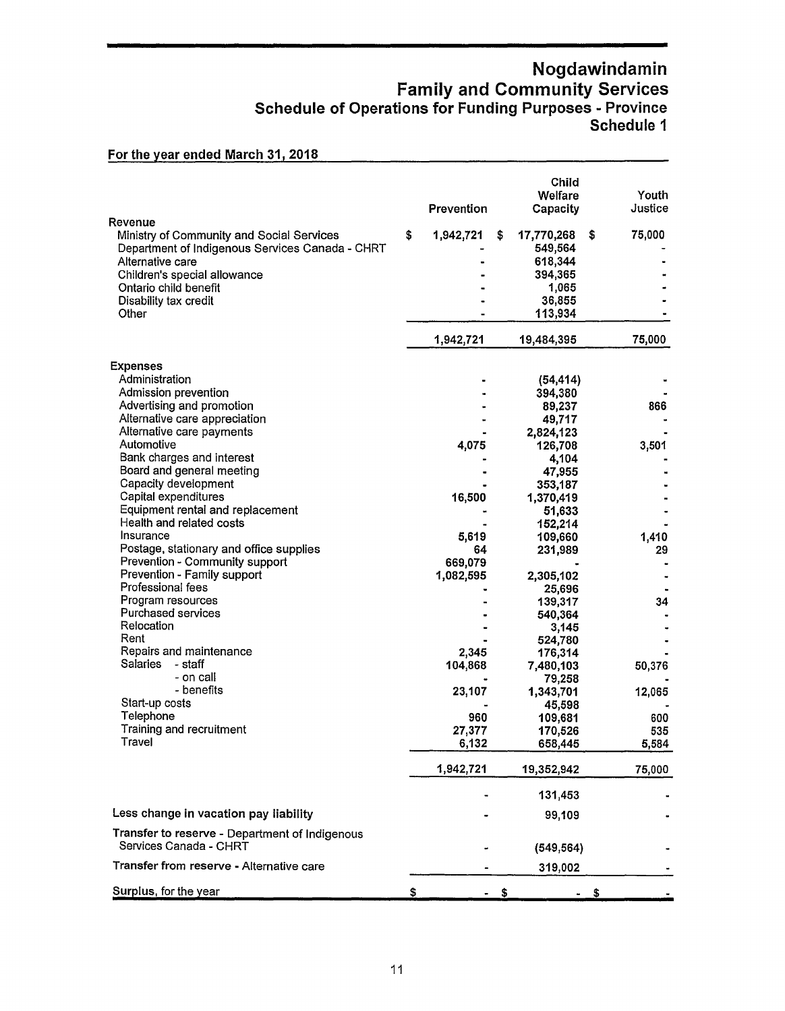# Nogdawindamin Family and Community Services Schedule of Operations for Funding Purposes - Province Schedule 1

# For the year ended March 31, 2018

| Revenue                                                                                      | Prevention      | Child<br>Welfare<br>Capacity | Youth<br>Justice |
|----------------------------------------------------------------------------------------------|-----------------|------------------------------|------------------|
| Ministry of Community and Social Services<br>Department of Indigenous Services Canada - CHRT | \$<br>1,942,721 | \$<br>17,770,268<br>549,564  | \$<br>75,000     |
| Alternative care                                                                             |                 | 618,344                      |                  |
| Children's special allowance                                                                 |                 | 394,365                      |                  |
| Ontario child benefit                                                                        |                 | 1,065                        |                  |
| Disability tax credit                                                                        |                 | 36,855                       |                  |
| Other                                                                                        |                 | 113,934                      |                  |
|                                                                                              | 1,942,721       | 19,484,395                   | 75,000           |
| <b>Expenses</b>                                                                              |                 |                              |                  |
| Administration                                                                               |                 | (54, 414)                    |                  |
| Admission prevention                                                                         |                 | 394,380                      |                  |
| Advertising and promotion                                                                    |                 | 89,237                       | 866              |
| Alternative care appreciation                                                                |                 | 49,717                       |                  |
| Alternative care payments                                                                    |                 | 2,824,123                    |                  |
| Automotive                                                                                   | 4,075           | 126,708                      | 3,501            |
| Bank charges and interest                                                                    |                 | 4,104                        |                  |
| Board and general meeting                                                                    |                 | 47,955                       |                  |
| Capacity development                                                                         |                 | 353,187                      |                  |
| Capital expenditures                                                                         | 16,500          | 1,370,419                    |                  |
| Equipment rental and replacement                                                             |                 | 51,633                       |                  |
| Health and related costs                                                                     |                 | 152,214                      |                  |
| Insurance                                                                                    | 5,619           | 109,660                      | 1,410            |
| Postage, stationary and office supplies                                                      | 64              | 231,989                      | 29               |
| Prevention - Community support                                                               | 669,079         |                              |                  |
| Prevention - Family support                                                                  | 1,082,595       | 2,305,102                    |                  |
| Professional fees                                                                            |                 | 25,696                       |                  |
| Program resources                                                                            |                 | 139,317                      | 34               |
| Purchased services                                                                           |                 | 540,364                      |                  |
| Relocation<br>Rent                                                                           |                 | 3,145                        |                  |
|                                                                                              |                 | 524,780                      |                  |
| Repairs and maintenance<br>Salaries<br>- staff                                               | 2,345           | 176,314                      |                  |
| - on call                                                                                    | 104,868         | 7,480,103                    | 50,376           |
| - benefits                                                                                   |                 | 79,258                       |                  |
| Start-up costs                                                                               | 23,107          | 1,343,701                    | 12,065           |
| Telephone                                                                                    | 960             | 45,598                       |                  |
| Training and recruitment                                                                     | 27,377          | 109,681<br>170,526           | 600<br>535       |
| i ravel                                                                                      | 6,132           | 658,445                      | 5,584            |
|                                                                                              | 1,942,721       | 19,352,942                   | 75,000           |
|                                                                                              |                 | 131,453                      |                  |
| Less change in vacation pay liability                                                        |                 | 99,109                       |                  |
| Transfer to reserve - Department of Indigenous                                               |                 |                              |                  |
| Services Canada - CHRT                                                                       |                 | (549, 564)                   |                  |
| Transfer from reserve - Alternative care                                                     |                 | 319,002                      |                  |
| Surplus, for the year                                                                        | \$              | \$                           |                  |
|                                                                                              |                 |                              |                  |